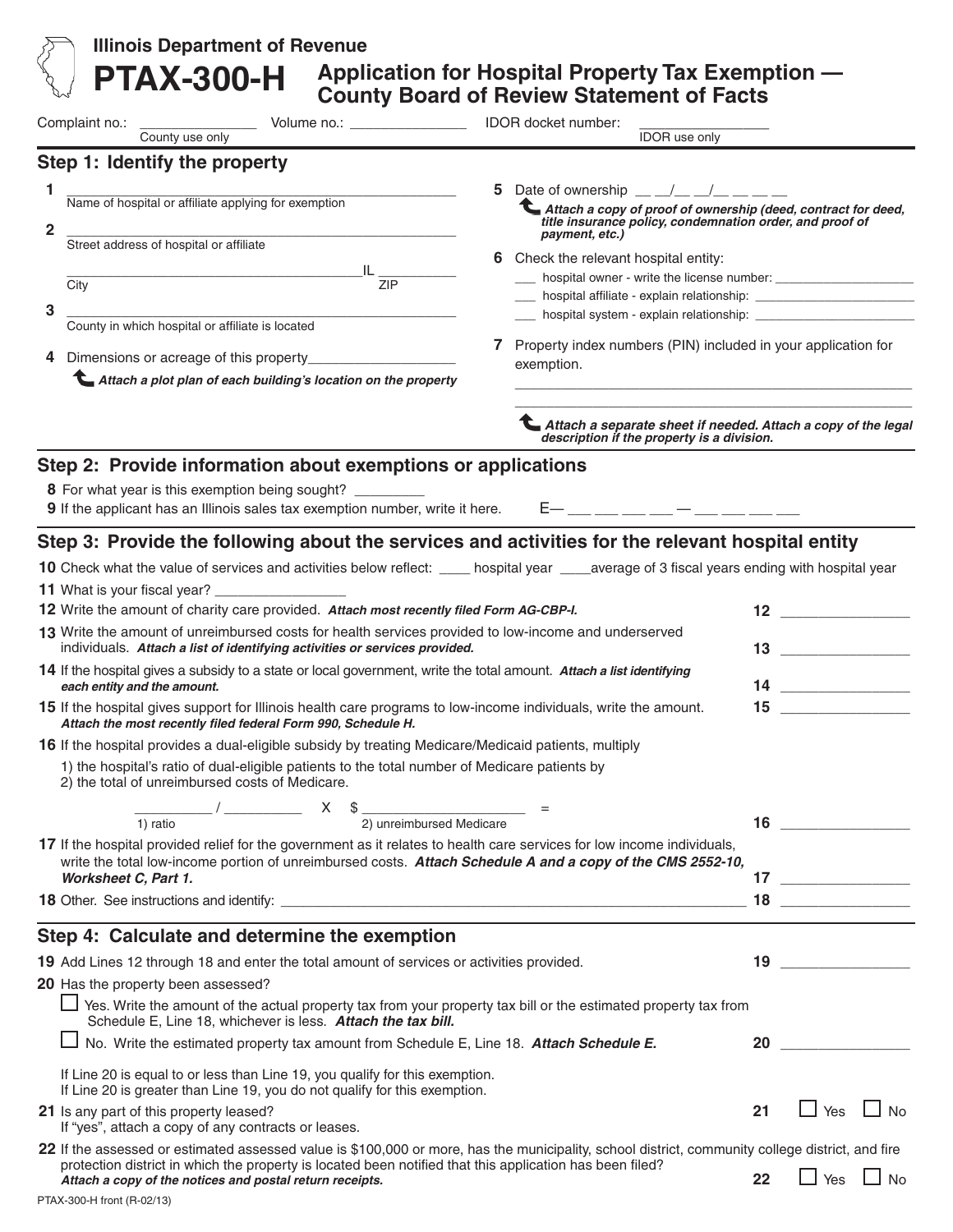|                                                                                                                                                                                    | <b>Illinois Department of Revenue</b>                                                                                                                                                                                                                    |  |                                                                                                                                     |    |                                                                                                                                                                                                                                                                                                                                                                                                                                                                                                                                                    |                                       |
|------------------------------------------------------------------------------------------------------------------------------------------------------------------------------------|----------------------------------------------------------------------------------------------------------------------------------------------------------------------------------------------------------------------------------------------------------|--|-------------------------------------------------------------------------------------------------------------------------------------|----|----------------------------------------------------------------------------------------------------------------------------------------------------------------------------------------------------------------------------------------------------------------------------------------------------------------------------------------------------------------------------------------------------------------------------------------------------------------------------------------------------------------------------------------------------|---------------------------------------|
|                                                                                                                                                                                    | <b>PTAX-300-H</b>                                                                                                                                                                                                                                        |  | Application for Hospital Property Tax Exemption -<br><b>County Board of Review Statement of Facts</b>                               |    |                                                                                                                                                                                                                                                                                                                                                                                                                                                                                                                                                    |                                       |
|                                                                                                                                                                                    | Complaint no.:<br>Volume no.: _______________________________ IDOR docket number:<br>County use only                                                                                                                                                     |  | <b>IDOR</b> use only                                                                                                                |    |                                                                                                                                                                                                                                                                                                                                                                                                                                                                                                                                                    |                                       |
|                                                                                                                                                                                    | Step 1: Identify the property                                                                                                                                                                                                                            |  |                                                                                                                                     |    |                                                                                                                                                                                                                                                                                                                                                                                                                                                                                                                                                    |                                       |
| 1                                                                                                                                                                                  |                                                                                                                                                                                                                                                          |  | 5 Date of ownership $\frac{1}{2}$ $\frac{1}{2}$ $\frac{1}{2}$ $\frac{1}{2}$ $\frac{1}{2}$ $\frac{1}{2}$ $\frac{1}{2}$ $\frac{1}{2}$ |    |                                                                                                                                                                                                                                                                                                                                                                                                                                                                                                                                                    |                                       |
|                                                                                                                                                                                    | Name of hospital or affiliate applying for exemption                                                                                                                                                                                                     |  | Attach a copy of proof of ownership (deed, contract for deed,<br>title insurance policy, condemnation order, and proof of           |    |                                                                                                                                                                                                                                                                                                                                                                                                                                                                                                                                                    |                                       |
| 2                                                                                                                                                                                  | Street address of hospital or affiliate                                                                                                                                                                                                                  |  | payment, etc.)                                                                                                                      |    |                                                                                                                                                                                                                                                                                                                                                                                                                                                                                                                                                    |                                       |
|                                                                                                                                                                                    | $IL$ $ZIP$                                                                                                                                                                                                                                               |  | 6 Check the relevant hospital entity:                                                                                               |    |                                                                                                                                                                                                                                                                                                                                                                                                                                                                                                                                                    |                                       |
|                                                                                                                                                                                    | City                                                                                                                                                                                                                                                     |  |                                                                                                                                     |    |                                                                                                                                                                                                                                                                                                                                                                                                                                                                                                                                                    |                                       |
| 3                                                                                                                                                                                  | County in which hospital or affiliate is located                                                                                                                                                                                                         |  |                                                                                                                                     |    |                                                                                                                                                                                                                                                                                                                                                                                                                                                                                                                                                    |                                       |
|                                                                                                                                                                                    |                                                                                                                                                                                                                                                          |  | 7 Property index numbers (PIN) included in your application for                                                                     |    |                                                                                                                                                                                                                                                                                                                                                                                                                                                                                                                                                    |                                       |
| 4                                                                                                                                                                                  | Lattach a plot plan of each building's location on the property                                                                                                                                                                                          |  | exemption.                                                                                                                          |    |                                                                                                                                                                                                                                                                                                                                                                                                                                                                                                                                                    |                                       |
|                                                                                                                                                                                    |                                                                                                                                                                                                                                                          |  |                                                                                                                                     |    |                                                                                                                                                                                                                                                                                                                                                                                                                                                                                                                                                    |                                       |
|                                                                                                                                                                                    |                                                                                                                                                                                                                                                          |  | Attach a separate sheet if needed. Attach a copy of the legal<br>description if the property is a division.                         |    |                                                                                                                                                                                                                                                                                                                                                                                                                                                                                                                                                    |                                       |
|                                                                                                                                                                                    | Step 2: Provide information about exemptions or applications                                                                                                                                                                                             |  |                                                                                                                                     |    |                                                                                                                                                                                                                                                                                                                                                                                                                                                                                                                                                    |                                       |
|                                                                                                                                                                                    | 8 For what year is this exemption being sought? _________<br>9 If the applicant has an Illinois sales tax exemption number, write it here.                                                                                                               |  | $E-$ __ __ __ __ _ _ _ __ __ __ __                                                                                                  |    |                                                                                                                                                                                                                                                                                                                                                                                                                                                                                                                                                    |                                       |
|                                                                                                                                                                                    | Step 3: Provide the following about the services and activities for the relevant hospital entity                                                                                                                                                         |  |                                                                                                                                     |    |                                                                                                                                                                                                                                                                                                                                                                                                                                                                                                                                                    |                                       |
|                                                                                                                                                                                    | 10 Check what the value of services and activities below reflect: ____ hospital year ____average of 3 fiscal years ending with hospital year                                                                                                             |  |                                                                                                                                     |    |                                                                                                                                                                                                                                                                                                                                                                                                                                                                                                                                                    |                                       |
|                                                                                                                                                                                    |                                                                                                                                                                                                                                                          |  |                                                                                                                                     |    |                                                                                                                                                                                                                                                                                                                                                                                                                                                                                                                                                    |                                       |
|                                                                                                                                                                                    | 12 Write the amount of charity care provided. Attach most recently filed Form AG-CBP-I.                                                                                                                                                                  |  |                                                                                                                                     |    |                                                                                                                                                                                                                                                                                                                                                                                                                                                                                                                                                    | $12$ and $\sim$ and $\sim$ and $\sim$ |
| 13 Write the amount of unreimbursed costs for health services provided to low-income and underserved<br>individuals. Attach a list of identifying activities or services provided. |                                                                                                                                                                                                                                                          |  |                                                                                                                                     |    | $\begin{array}{c c} \hline \end{array}$ 13                                                                                                                                                                                                                                                                                                                                                                                                                                                                                                         |                                       |
| 14 If the hospital gives a subsidy to a state or local government, write the total amount. Attach a list identifying<br>each entity and the amount.                                |                                                                                                                                                                                                                                                          |  |                                                                                                                                     |    |                                                                                                                                                                                                                                                                                                                                                                                                                                                                                                                                                    |                                       |
|                                                                                                                                                                                    | 15 If the hospital gives support for Illinois health care programs to low-income individuals, write the amount.<br>Attach the most recently filed federal Form 990, Schedule H.                                                                          |  |                                                                                                                                     |    |                                                                                                                                                                                                                                                                                                                                                                                                                                                                                                                                                    |                                       |
|                                                                                                                                                                                    | 16 If the hospital provides a dual-eligible subsidy by treating Medicare/Medicaid patients, multiply<br>1) the hospital's ratio of dual-eligible patients to the total number of Medicare patients by<br>2) the total of unreimbursed costs of Medicare. |  |                                                                                                                                     |    |                                                                                                                                                                                                                                                                                                                                                                                                                                                                                                                                                    |                                       |
|                                                                                                                                                                                    | $\frac{1}{1}$ ratio $\frac{1}{2}$ $\frac{1}{2}$ $\frac{1}{2}$ unreimbursed Medicare $\frac{1}{2}$                                                                                                                                                        |  |                                                                                                                                     |    |                                                                                                                                                                                                                                                                                                                                                                                                                                                                                                                                                    |                                       |
|                                                                                                                                                                                    | 17 If the hospital provided relief for the government as it relates to health care services for low income individuals,<br>write the total low-income portion of unreimbursed costs. Attach Schedule A and a copy of the CMS 2552-10,                    |  |                                                                                                                                     |    |                                                                                                                                                                                                                                                                                                                                                                                                                                                                                                                                                    |                                       |
|                                                                                                                                                                                    | Worksheet C, Part 1.                                                                                                                                                                                                                                     |  |                                                                                                                                     |    | $\begin{array}{c} \n \text{17} \quad \text{---} \quad \text{---} \quad \text{---} \quad \text{---} \quad \text{---} \quad \text{---} \quad \text{---} \quad \text{---} \quad \text{---} \quad \text{---} \quad \text{---} \quad \text{---} \quad \text{---} \quad \text{---} \quad \text{---} \quad \text{---} \quad \text{---} \quad \text{---} \quad \text{---} \quad \text{---} \quad \text{---} \quad \text{---} \quad \text{---} \quad \text{---} \quad \text{---} \quad \text{---} \quad \text{---} \quad \text{---} \quad \text{---} \quad$ |                                       |
|                                                                                                                                                                                    |                                                                                                                                                                                                                                                          |  |                                                                                                                                     |    |                                                                                                                                                                                                                                                                                                                                                                                                                                                                                                                                                    |                                       |
|                                                                                                                                                                                    | Step 4: Calculate and determine the exemption                                                                                                                                                                                                            |  |                                                                                                                                     |    |                                                                                                                                                                                                                                                                                                                                                                                                                                                                                                                                                    |                                       |
|                                                                                                                                                                                    | 19 Add Lines 12 through 18 and enter the total amount of services or activities provided.                                                                                                                                                                |  |                                                                                                                                     |    | $\begin{array}{c c} \hline \end{array}$ 19                                                                                                                                                                                                                                                                                                                                                                                                                                                                                                         |                                       |
|                                                                                                                                                                                    | 20 Has the property been assessed?                                                                                                                                                                                                                       |  |                                                                                                                                     |    |                                                                                                                                                                                                                                                                                                                                                                                                                                                                                                                                                    |                                       |
|                                                                                                                                                                                    | $\Box$ Yes. Write the amount of the actual property tax from your property tax bill or the estimated property tax from<br>Schedule E, Line 18, whichever is less. Attach the tax bill.                                                                   |  |                                                                                                                                     |    |                                                                                                                                                                                                                                                                                                                                                                                                                                                                                                                                                    |                                       |
|                                                                                                                                                                                    | No. Write the estimated property tax amount from Schedule E, Line 18. Attach Schedule E.                                                                                                                                                                 |  |                                                                                                                                     |    | 20                                                                                                                                                                                                                                                                                                                                                                                                                                                                                                                                                 |                                       |
|                                                                                                                                                                                    | If Line 20 is equal to or less than Line 19, you qualify for this exemption.<br>If Line 20 is greater than Line 19, you do not qualify for this exemption.                                                                                               |  |                                                                                                                                     |    |                                                                                                                                                                                                                                                                                                                                                                                                                                                                                                                                                    |                                       |
|                                                                                                                                                                                    | 21 Is any part of this property leased?<br>If "yes", attach a copy of any contracts or leases.                                                                                                                                                           |  |                                                                                                                                     | 21 |                                                                                                                                                                                                                                                                                                                                                                                                                                                                                                                                                    | $\Box$ Yes $\Box$ No                  |
|                                                                                                                                                                                    | 22 If the assessed or estimated assessed value is \$100,000 or more, has the municipality, school district, community college district, and fire                                                                                                         |  |                                                                                                                                     |    |                                                                                                                                                                                                                                                                                                                                                                                                                                                                                                                                                    |                                       |
|                                                                                                                                                                                    | protection district in which the property is located been notified that this application has been filed?<br>Attach a copy of the notices and postal return receipts.                                                                                     |  |                                                                                                                                     | 22 |                                                                                                                                                                                                                                                                                                                                                                                                                                                                                                                                                    | $\Box$ Yes $\Box$ No                  |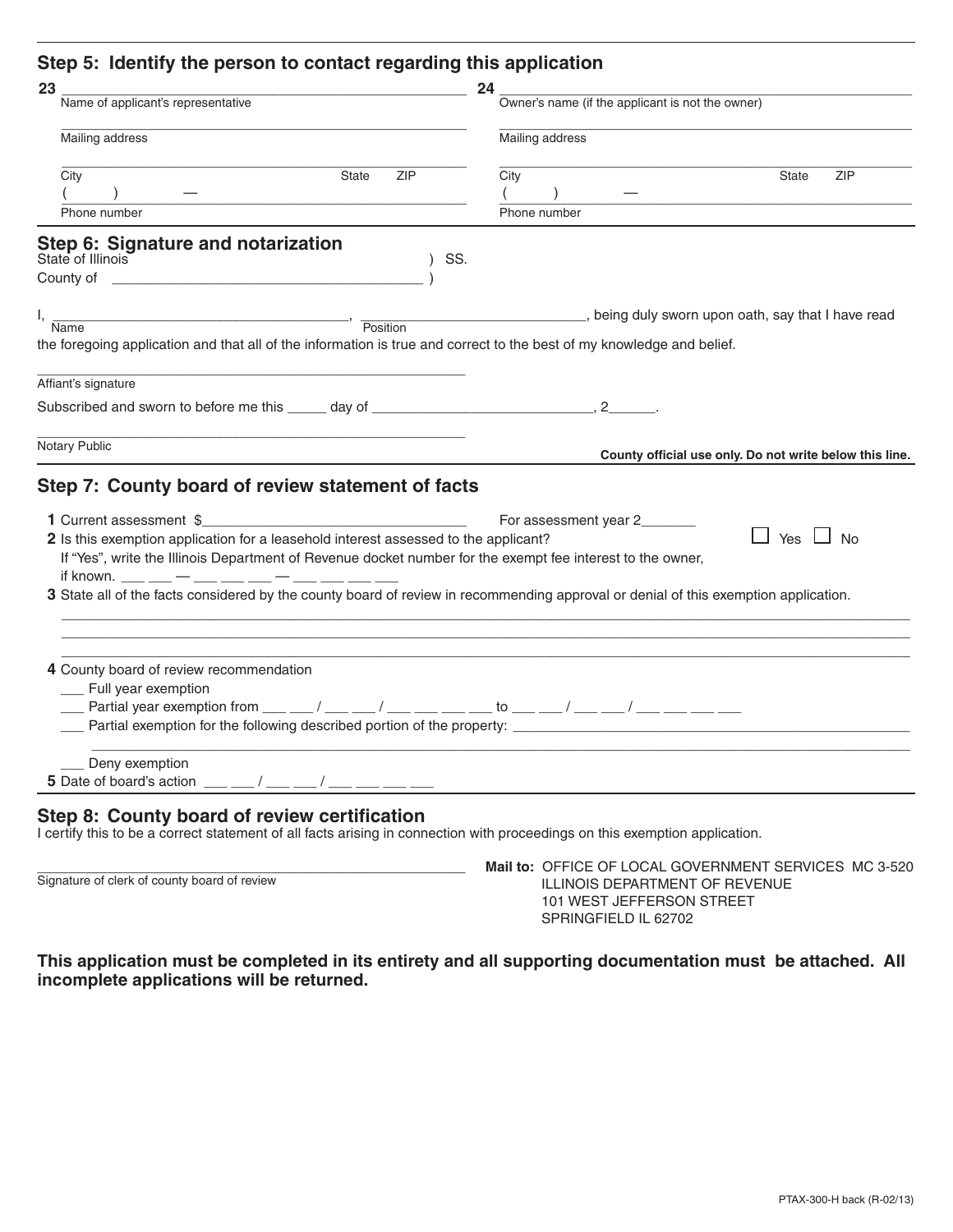# **Step 5: Identify the person to contact regarding this application**

| 23                                                                                                                                                                                                                                                                                                                                                                                                                                                                                            | 24                                                                     |
|-----------------------------------------------------------------------------------------------------------------------------------------------------------------------------------------------------------------------------------------------------------------------------------------------------------------------------------------------------------------------------------------------------------------------------------------------------------------------------------------------|------------------------------------------------------------------------|
| Name of applicant's representative                                                                                                                                                                                                                                                                                                                                                                                                                                                            | Owner's name (if the applicant is not the owner)                       |
| Mailing address                                                                                                                                                                                                                                                                                                                                                                                                                                                                               | Mailing address                                                        |
| City<br>State<br><b>ZIP</b>                                                                                                                                                                                                                                                                                                                                                                                                                                                                   | <b>State</b><br><b>ZIP</b><br>City                                     |
|                                                                                                                                                                                                                                                                                                                                                                                                                                                                                               |                                                                        |
| Phone number                                                                                                                                                                                                                                                                                                                                                                                                                                                                                  | Phone number                                                           |
| Step 6: Signature and notarization<br>State of Illinois<br>SS.                                                                                                                                                                                                                                                                                                                                                                                                                                |                                                                        |
|                                                                                                                                                                                                                                                                                                                                                                                                                                                                                               |                                                                        |
|                                                                                                                                                                                                                                                                                                                                                                                                                                                                                               |                                                                        |
| I,<br>$\overline{\phantom{a}}$ $\overline{\phantom{a}}$ $\overline{\phantom{a}}$ $\overline{\phantom{a}}$ $\overline{\phantom{a}}$ $\overline{\phantom{a}}$ $\overline{\phantom{a}}$ $\overline{\phantom{a}}$ $\overline{\phantom{a}}$ $\overline{\phantom{a}}$ $\overline{\phantom{a}}$ $\overline{\phantom{a}}$ $\overline{\phantom{a}}$ $\overline{\phantom{a}}$ $\overline{\phantom{a}}$ $\overline{\phantom{a}}$ $\overline{\phantom{a}}$ $\overline{\phantom{a}}$ $\overline{\$<br>Name | being duly sworn upon oath, say that I have read                       |
| the foregoing application and that all of the information is true and correct to the best of my knowledge and belief.                                                                                                                                                                                                                                                                                                                                                                         |                                                                        |
|                                                                                                                                                                                                                                                                                                                                                                                                                                                                                               |                                                                        |
| Affiant's signature                                                                                                                                                                                                                                                                                                                                                                                                                                                                           |                                                                        |
|                                                                                                                                                                                                                                                                                                                                                                                                                                                                                               |                                                                        |
| Notary Public                                                                                                                                                                                                                                                                                                                                                                                                                                                                                 | County official use only. Do not write below this line.                |
|                                                                                                                                                                                                                                                                                                                                                                                                                                                                                               |                                                                        |
| Step 7: County board of review statement of facts                                                                                                                                                                                                                                                                                                                                                                                                                                             |                                                                        |
|                                                                                                                                                                                                                                                                                                                                                                                                                                                                                               | For assessment year 2_______                                           |
| 2 Is this exemption application for a leasehold interest assessed to the applicant?                                                                                                                                                                                                                                                                                                                                                                                                           | Yes $\Box$ No                                                          |
| If "Yes", write the Illinois Department of Revenue docket number for the exempt fee interest to the owner,                                                                                                                                                                                                                                                                                                                                                                                    |                                                                        |
| if known. ___ __ _ _ __ __ ___ ___ __ __ __ __                                                                                                                                                                                                                                                                                                                                                                                                                                                |                                                                        |
| 3 State all of the facts considered by the county board of review in recommending approval or denial of this exemption application.                                                                                                                                                                                                                                                                                                                                                           |                                                                        |
|                                                                                                                                                                                                                                                                                                                                                                                                                                                                                               |                                                                        |
|                                                                                                                                                                                                                                                                                                                                                                                                                                                                                               |                                                                        |
| 4 County board of review recommendation                                                                                                                                                                                                                                                                                                                                                                                                                                                       |                                                                        |
| __ Full year exemption                                                                                                                                                                                                                                                                                                                                                                                                                                                                        |                                                                        |
|                                                                                                                                                                                                                                                                                                                                                                                                                                                                                               |                                                                        |
|                                                                                                                                                                                                                                                                                                                                                                                                                                                                                               | Partial exemption for the following described portion of the property: |
| ___ Deny exemption                                                                                                                                                                                                                                                                                                                                                                                                                                                                            |                                                                        |
| 5 Date of board's action ___ _/ __ _/ __ / __ __ __ __ __ __ __                                                                                                                                                                                                                                                                                                                                                                                                                               |                                                                        |
|                                                                                                                                                                                                                                                                                                                                                                                                                                                                                               |                                                                        |
| Step 8: County board of review certification<br>I certify this to be a correct statement of all facts arising in connection with proceedings on this exemption application.                                                                                                                                                                                                                                                                                                                   |                                                                        |
|                                                                                                                                                                                                                                                                                                                                                                                                                                                                                               |                                                                        |

\_\_\_\_\_\_\_\_\_\_\_\_\_\_\_\_\_\_\_\_\_\_\_\_\_\_\_\_\_\_\_\_\_\_\_\_\_\_\_\_\_\_\_\_\_\_\_\_\_\_\_\_\_\_\_ **Mail to:** OFFICE OF LOCAL GOVERNMENT SERVICES MC 3-520 ILLINOIS DEPARTMENT OF REVENUE 101 WEST JEFFERSON STREET SPRINGFIELD IL 62702

**This application must be completed in its entirety and all supporting documentation must be attached. All incomplete applications will be returned.**